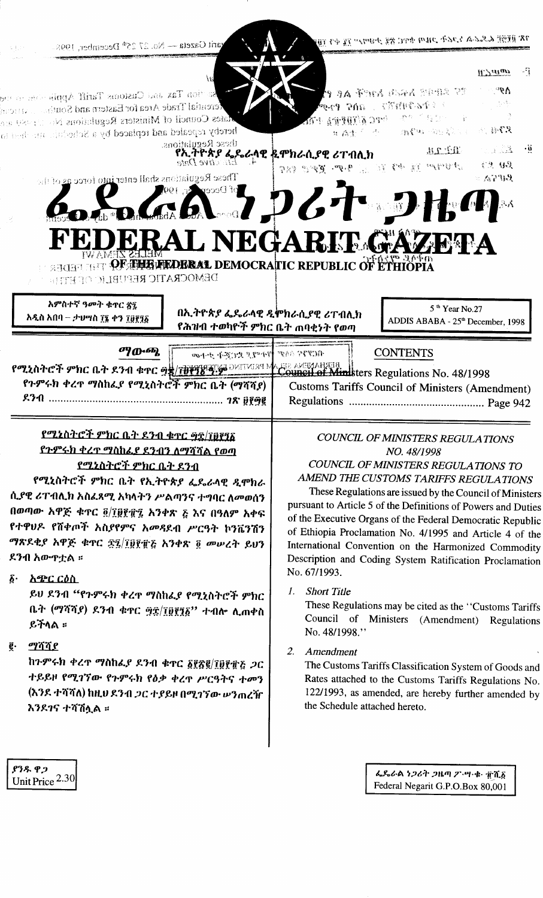| <b>SEP</b>              | varit Gazeta — No. 27 25 <sup>th</sup> December, 1998.                                                                                                                                                                                                                                            | ገጽ በይዟይ ፌዴራል ኑጋሪት ጋዜጣ ቁዋር ጽኗ ታካማሥ ፲፯ ቀን ፲፱፻<br><b>W</b> aian                                                                                                                                                                                                                                                                                                                                                                                                                                                                  | ार्       |
|-------------------------|---------------------------------------------------------------------------------------------------------------------------------------------------------------------------------------------------------------------------------------------------------------------------------------------------|-------------------------------------------------------------------------------------------------------------------------------------------------------------------------------------------------------------------------------------------------------------------------------------------------------------------------------------------------------------------------------------------------------------------------------------------------------------------------------------------------------------------------------|-----------|
|                         | $\mathcal{R}_{\mathcal{S}}$<br>$\mathbf{s}$ a tion Tax and Customs Tariff Applic stars to any<br>ferential Trade Area for Eastern and Southern National<br>dates Council of Ministers Regulations No. 11089 and<br>hereby repealed and replaced by a Schechtle and their to<br>these Regulations. | $\Delta 9^{\circ}$<br><b>79 a ford dagd order of</b><br>$\label{eq:3.1} \begin{array}{cc} \mathcal{F}_{\mathcal{F}} & \mathcal{F}_{\mathcal{F}} \circ \mathcal{F}_{\mathcal{F}} \\ \mathcal{F}_{\mathcal{F}} & \mathcal{F}_{\mathcal{F}} \end{array}$<br><b>MARTHER LINE PAP<sup>P</sup></b><br>$\mathcal{A} = \{ \mathcal{A} \in \mathbb{C}^n : \mathcal{A} \in \mathbb{C}^n \mid \mathcal{A} \in \mathbb{C}^n \}$ , where $\mathcal{A} \cap \mathcal{A}$<br>$\mathcal{H}_\mathrm{eff} \gg 1$<br># 森東 (1995) - 新鮮縣 · 海易第2990 |           |
|                         | $4.$ El citye Date<br>These Regulations shall enter into force as of the<br>of Decep $\llbracket \mathbf{c}_\mathrm{f},\ \mathbf{190}\rrbracket$<br>D.                                                                                                                                            | and the<br><b>REPAR</b><br>የኢትዮጵያ ፌዴራላዊ ዴሞክራሲያዊ ሪፐብሊክ<br><b>CH US</b><br>计自动机 送 中国 第二、中中、夏和皇 教皇<br>$em$ $R$ of $R$ is $\approx$<br>GA726+91                                                                                                                                                                                                                                                                                                                                                                                   | $\cdot$ 0 |
|                         | <b>CERTION OF THE RELEVANDERAL DEMOCRATIC REPUBLIC OF ETHIOPIA</b><br>DEMOCRATIC REFUBLIC OF ETTHE<br>አምስተኛ ዓመት ቁጥር ጽ፯<br>አዲስ አበባ – ታህሣስ ፲፮ ቀን ፲፱፻፺፩                                                                                                                                              | <b>ERAL NEGARIT GAZETA</b><br>5 <sup>th</sup> Year No.27<br>በኢትዮጵያ ፌዴራላዊ ዲሞክራሲያዊ ሪፐብሊክ                                                                                                                                                                                                                                                                                                                                                                                                                                        |           |
|                         |                                                                                                                                                                                                                                                                                                   | ADDIS ABABA - 25 <sup>th</sup> December, 1998<br>የሕዝብ ተወካዮች ምክር ቤት ጠባቂነት የወጣ                                                                                                                                                                                                                                                                                                                                                                                                                                                  |           |
|                         | ማውጫ                                                                                                                                                                                                                                                                                               |                                                                                                                                                                                                                                                                                                                                                                                                                                                                                                                               |           |
|                         | ብርሃንና ለላም ተነቀሚያ ድርጅት ታቀመ<br><b>PT207C7 Phc 07 271 4TC 92 THTP 3 DATTMER MARE AMERIANSES</b><br>የጉምሩክ ቀረጥ ማስከፈያ የሚኒስትሮች ምክር ቤት (ማሻሻያ)                                                                                                                                                              | <b>CONTENTS</b><br><b>Customs Tariffs Council of Ministers (Amendment)</b>                                                                                                                                                                                                                                                                                                                                                                                                                                                    |           |
|                         | <u>የሚኒስትሮች ምክር ቤት ደንብ ቁተር ፵፰/፲፱፻፺፩</u>                                                                                                                                                                                                                                                            | <b>COUNCIL OF MINISTERS REGULATIONS</b>                                                                                                                                                                                                                                                                                                                                                                                                                                                                                       |           |
|                         | <u> የጉምሩክ ቀረጥ ማስከፌያ ደንብን ለማሻሻል የወጣ</u><br><u>የሚኒስትሮች ምክር ቤት ደንብ</u><br>የሚኒስትሮች ምክር ቤት የኢትዮጵያ ፌዴራላዊ ዲሞክራ                                                                                                                                                                                           | NO. 48/1998<br>COUNCIL OF MINISTERS REGULATIONS TO<br>AMEND THE CUSTOMS TARIFFS REGULATIONS                                                                                                                                                                                                                                                                                                                                                                                                                                   |           |
|                         | ሲያዊ ሪፐብሊክ አስፈጻሚ አካላትን ሥልጣንና ተግባር ለመወሰን<br>በወጣው አዋጅ ቁዋር ፬/፲፱፻፹፯ አንቀጽ ፩ እና በዓለም አቀፍ<br>የተዋህዶ የሸቀጦች አስያየምና አመዳደብ ሥርዓት ኮንቬንሽን<br>ማጽዶቂያ አዋጅ ቁጥር ፳፯/፲፱፻፹፭ አንቀጽ ፬ መሠረት ይህን<br>ደንብ አውዋቷል ።                                                                                                                | These Regulations are issued by the Council of Ministers<br>pursuant to Article 5 of the Definitions of Powers and Duties<br>of the Executive Organs of the Federal Democratic Republic<br>of Ethiopia Proclamation No. 4/1995 and Article 4 of the<br>International Convention on the Harmonized Commodity<br>Description and Coding System Ratification Proclamation                                                                                                                                                        |           |
| $\boldsymbol{\delta}$ . | <u>አጭር ርዕስ</u><br>ይህ ደንብ "የጉምሩክ ቀረጥ ማስከፌያ የሚኒስትሮች ምክር<br>ቤት (ማሻሻያ) ደንብ ቁዋር ፵፰/፲፱፻፺፩'' ተብሎ ሊጠቀስ<br>ይችላል ።                                                                                                                                                                                          | No. 67/1993.<br><b>Short Title</b><br>1.<br>These Regulations may be cited as the "Customs Tariffs<br>Council of Ministers (Amendment) Regulations<br>No. 48/1998."                                                                                                                                                                                                                                                                                                                                                           |           |

 $\bullet$ 

 $\begin{bmatrix} .928.92 \ \text{Unit Price } 2.30 \end{bmatrix}$ 

ፌዴራል ነጋሪት ጋዜጣ ፖ ሣ ቁ ተሺ፩ Federal Negarit G.P.O.Box 80,001